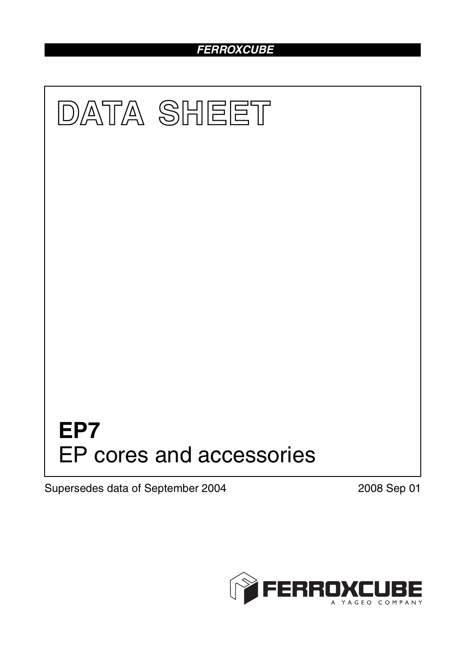## *FERROXCUBE*



Supersedes data of September 2004 2008 Sep 01

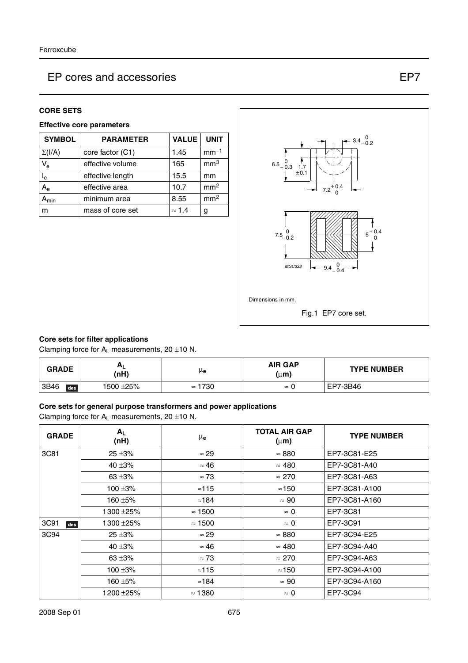#### **CORE SETS**

#### **Effective core parameters**

| <b>SYMBOL</b>  | <b>PARAMETER</b> | <b>VALUE</b>  | <b>UNIT</b>     |
|----------------|------------------|---------------|-----------------|
| $\Sigma(I/A)$  | core factor (C1) | 1.45          | $mm-1$          |
| $V_{e}$        | effective volume | 165           | mm <sup>3</sup> |
| l <sub>e</sub> | effective length | 15.5          | mm              |
| $A_{\rm e}$    | effective area   | 10.7          | mm <sup>2</sup> |
| min            | minimum area     | 8.55          | mm <sup>2</sup> |
| m              | mass of core set | $\approx$ 1.4 | g               |



#### **Core sets for filter applications**

Clamping force for  $A_L$  measurements, 20  $\pm$ 10 N.

| <b>GRADE</b> | <b>AL</b><br>(nH) | μe                | <b>AIR GAP</b><br>$(\mu m)$ | <b>TYPE NUMBER</b> |
|--------------|-------------------|-------------------|-----------------------------|--------------------|
| 3B46<br>des  | 1500 ±25%         | 1730<br>$\approx$ | ≈ 0                         | EP7-3B46           |

#### **Core sets for general purpose transformers and power applications**

Clamping force for  $A_L$  measurements, 20  $\pm$ 10 N.

| <b>GRADE</b> | $A_L$<br>(nH) | μe             | <b>TOTAL AIR GAP</b><br>$(\mu m)$ | <b>TYPE NUMBER</b> |
|--------------|---------------|----------------|-----------------------------------|--------------------|
| 3C81         | $25 + 3%$     | $\approx 29$   | $\approx 880$                     | EP7-3C81-E25       |
|              | 40 $\pm 3\%$  | $\approx 46$   | $\approx 480$                     | EP7-3C81-A40       |
|              | 63 $\pm 3\%$  | $\approx 73$   | $\approx 270$                     | EP7-3C81-A63       |
|              | 100 $\pm 3\%$ | $\approx$ 115  | $\approx$ 150                     | EP7-3C81-A100      |
|              | 160 $\pm$ 5%  | $\approx$ 184  | $\approx 90$                      | EP7-3C81-A160      |
|              | 1300 ± 25%    | $\approx$ 1500 | $\approx 0$                       | EP7-3C81           |
| 3C91<br>des  | 1300±25%      | $\approx$ 1500 | $\approx 0$                       | EP7-3C91           |
| 3C94         | $25 + 3%$     | $\approx$ 29   | $\approx 880$                     | EP7-3C94-E25       |
|              | 40 $\pm$ 3%   | $\approx 46$   | $\approx 480$                     | EP7-3C94-A40       |
|              | 63 $\pm 3\%$  | $\approx 73$   | $\approx 270$                     | EP7-3C94-A63       |
|              | $100 + 3%$    | $\approx$ 115  | $\approx$ 150                     | EP7-3C94-A100      |
|              | 160 ±5%       | $\approx$ 184  | $\approx 90$                      | EP7-3C94-A160      |
|              | 1200 ±25%     | $\approx$ 1380 | $\approx 0$                       | EP7-3C94           |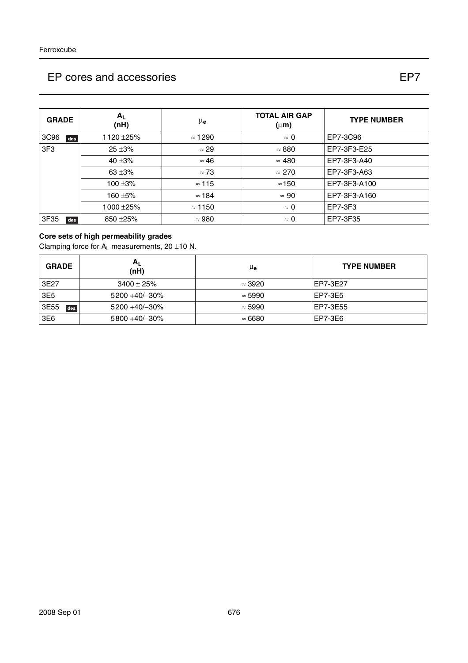### $3C96$  des 1120 ±25% ≈ 1290  $\approx$  0 EP7-3C96  $3F3$  25 ±3% ≈ 29 ≈ 880 EP7-3F3-E25  $40 \pm 3\%$   $\approx 46$   $\approx 480$  EP7-3F3-A40  $63 \pm 3\%$   $\approx 73$   $\approx 270$  EP7-3F3-A63 100 ±3% ≈ 115 ≈150 EP7-3F3-A100 160 ±5% ≈ 184 ≈ 90 EP7-3F3-A160 1000 ± 25%  $\vert$  ≈ 1150  $\vert$  ≈ 0  $\vert$  EP7-3F3  $3F35$  des 850±25%  $\sim$  980  $\sim$  0 EP7-3F35 **GRADE AL**  $(\mathsf{nH})$   $\mu_{\mathsf{e}}$ **TOTAL AIR GAP (**µ**m) TYPE NUMBER**

#### **Core sets of high permeability grades**

Clamping force for  $A_1$  measurements, 20  $\pm$ 10 N.

| <b>GRADE</b> | ΑL<br>(nH)         | μe             | <b>TYPE NUMBER</b> |
|--------------|--------------------|----------------|--------------------|
| 3E27         | $3400 \pm 25\%$    | $\approx$ 3920 | EP7-3E27           |
| 3E5          | $5200 + 40/ - 30%$ | $\approx$ 5990 | EP7-3E5            |
| 3E55<br>des  | $5200 + 40/ -30%$  | $\approx$ 5990 | EP7-3E55           |
| 3E6          | 5800 +40/-30%      | $\approx 6680$ | EP7-3E6            |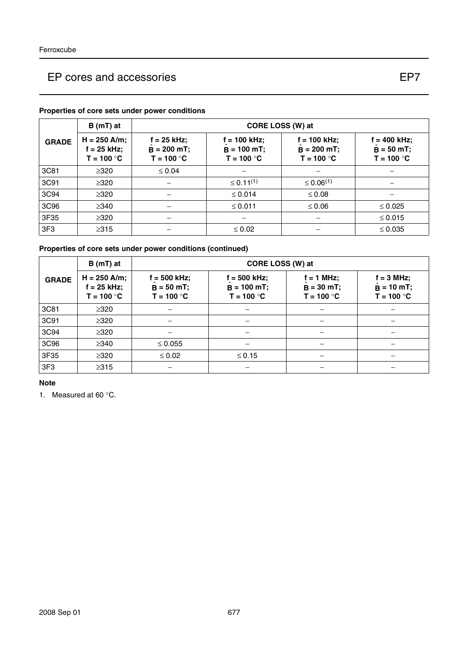#### **GRADE B** (mT) at  $\vert$  **CORE LOSS (W) at H = 250 A/m; f = 25 kHz; T = 100** °**C f = 25 kHz;**  $\hat{B} = 200 \text{ mT}; \quad \dot{B}$ **T = 100** °**C f = 100 kHz;**  $\hat{\mathbf{B}}$  = 100 mT;  $\qquad \begin{array}{|c} \hat{\mathbf{B}} \end{array}$ **T = 100** °**C f = 100 kHz;**  $\hat{\mathbf{B}} = 200 \text{ mT}; \quad | \quad \hat{\mathbf{B}}$ **T = 100** °**C f = 400 kHz; = 50 mT;** ˆ **T = 100** °**C** 3C81 ≥320 ≤ 0.04 −−− 3C91 │ ≥320 │ – │ ≤ 0.11<sup>(1)</sup> │ ≤ 0.06<sup>(1)</sup> │ – 3C94 ≥320 − ≤ 0.014 ≤ 0.08 − 3C96 ≥340 − ≤ 0.011 ≤ 0.06 ≤ 0.025 3F35 ≥320 − − − ≤ 0.015 3F3 ≥315 − ≤ 0.02 − ≤ 0.035

#### **Properties of core sets under power conditions**

#### **Properties of core sets under power conditions (continued)**

|                 | $B(mT)$ at                                      |                                                | CORE LOSS (W) at                                 |                                              |                                                    |  |
|-----------------|-------------------------------------------------|------------------------------------------------|--------------------------------------------------|----------------------------------------------|----------------------------------------------------|--|
| <b>GRADE</b>    | $H = 250$ A/m;<br>$f = 25$ kHz;<br>$T = 100 °C$ | $f = 500$ kHz;<br>$B = 50 mT;$<br>$T = 100 °C$ | $f = 500$ kHz;<br>$B = 100 mT$ ;<br>$T = 100 °C$ | $f = 1$ MHz;<br>$B = 30 mT;$<br>$T = 100 °C$ | $f = 3$ MHz;<br>$\hat{B} = 10$ mT;<br>$T = 100 °C$ |  |
| 3C81            | $\geq 320$                                      |                                                |                                                  |                                              |                                                    |  |
| 3C91            | $\geq 320$                                      |                                                |                                                  |                                              |                                                    |  |
| 3C94            | $\geq$ 320                                      |                                                |                                                  |                                              |                                                    |  |
| 3C96            | $\geq$ 340                                      | $\leq 0.055$                                   |                                                  |                                              |                                                    |  |
| 3F35            | $\geq 320$                                      | $\leq 0.02$                                    | $\leq 0.15$                                      |                                              |                                                    |  |
| 3F <sub>3</sub> | $\geq$ 315                                      |                                                |                                                  |                                              |                                                    |  |

**Note**

1. Measured at 60 °C.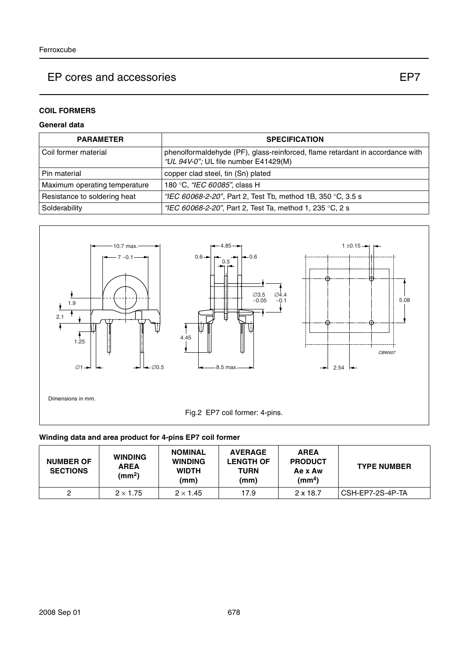#### **General data**

| <b>PARAMETER</b>              | <b>SPECIFICATION</b>                                                                                                  |
|-------------------------------|-----------------------------------------------------------------------------------------------------------------------|
| l Coil former material        | phenolformaldehyde (PF), glass-reinforced, flame retardant in accordance with<br>"UL 94V-0"; UL file number E41429(M) |
| l Pin material                | copper clad steel, tin (Sn) plated                                                                                    |
| Maximum operating temperature | 180 °C, "IEC 60085", class H                                                                                          |
| Resistance to soldering heat  | "IEC 60068-2-20", Part 2, Test Tb, method 1B, 350 °C, 3.5 s                                                           |
| Solderability                 | "IEC 60068-2-20", Part 2, Test Ta, method 1, 235 °C, 2 s                                                              |



#### **Winding data and area product for 4-pins EP7 coil former**

| <b>NUMBER OF</b><br><b>SECTIONS</b> | <b>WINDING</b><br><b>AREA</b><br>(mm <sup>2</sup> ) | <b>NOMINAL</b><br><b>WINDING</b><br><b>WIDTH</b><br>(mm) | <b>AVERAGE</b><br><b>LENGTH OF</b><br>TURN<br>(mm) | <b>AREA</b><br><b>PRODUCT</b><br>Ae x Aw<br>$\text{(mm}^4)$ | <b>TYPE NUMBER</b> |
|-------------------------------------|-----------------------------------------------------|----------------------------------------------------------|----------------------------------------------------|-------------------------------------------------------------|--------------------|
|                                     | $2 \times 1.75$                                     | $2 \times 1.45$                                          | 17.9                                               | $2 \times 18.7$                                             | CSH-EP7-2S-4P-TA   |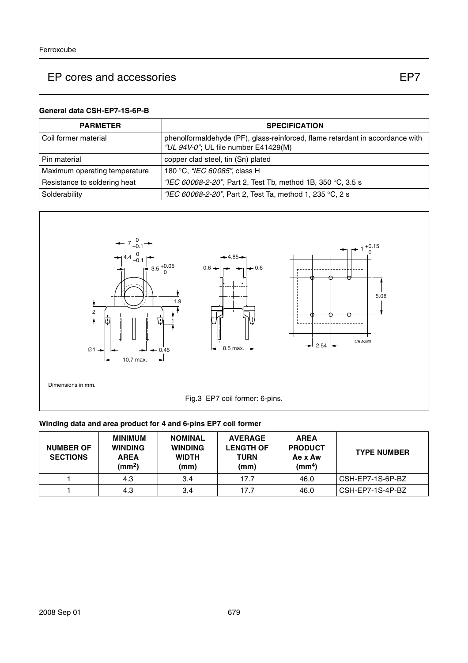#### **General data CSH-EP7-1S-6P-B**

| <b>PARMETER</b>               | <b>SPECIFICATION</b>                                                                                                  |
|-------------------------------|-----------------------------------------------------------------------------------------------------------------------|
| l Coil former material        | phenolformaldehyde (PF), glass-reinforced, flame retardant in accordance with<br>"UL 94V-0"; UL file number E41429(M) |
| l Pin material                | copper clad steel, tin (Sn) plated                                                                                    |
| Maximum operating temperature | 180 °C, "IEC 60085", class H                                                                                          |
| Resistance to soldering heat  | "IEC 60068-2-20", Part 2, Test Tb, method 1B, 350 °C, 3.5 s                                                           |
| Solderability                 | "IEC 60068-2-20", Part 2, Test Ta, method 1, 235 °C, 2 s                                                              |



### **Winding data and area product for 4 and 6-pins EP7 coil former**

| <b>NUMBER OF</b><br><b>SECTIONS</b> | <b>MINIMUM</b><br><b>WINDING</b><br><b>AREA</b><br>(mm <sup>2</sup> ) | <b>NOMINAL</b><br><b>WINDING</b><br><b>WIDTH</b><br>(mm) | <b>AVERAGE</b><br><b>LENGTH OF</b><br><b>TURN</b><br>(mm) | <b>AREA</b><br><b>PRODUCT</b><br>Ae x Aw<br>$\text{m}^4$ | <b>TYPE NUMBER</b> |
|-------------------------------------|-----------------------------------------------------------------------|----------------------------------------------------------|-----------------------------------------------------------|----------------------------------------------------------|--------------------|
|                                     | 4.3                                                                   | 3.4                                                      | 17.7                                                      | 46.0                                                     | CSH-EP7-1S-6P-BZ   |
|                                     | 4.3                                                                   | 3.4                                                      | 17.7                                                      | 46.0                                                     | CSH-EP7-1S-4P-BZ   |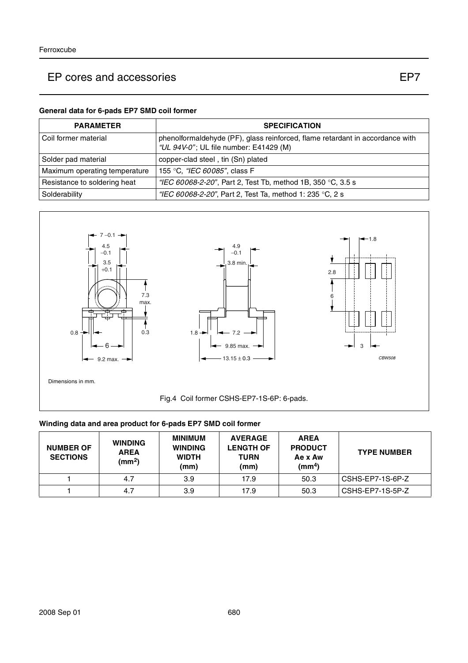### **General data for 6-pads EP7 SMD coil former**

| <b>PARAMETER</b>              | <b>SPECIFICATION</b>                                                                                                    |
|-------------------------------|-------------------------------------------------------------------------------------------------------------------------|
| l Coil former material        | phenolformaldehyde (PF), glass reinforced, flame retardant in accordance with<br>"UL 94V-0"; UL file number: E41429 (M) |
| Solder pad material           | copper-clad steel, tin (Sn) plated                                                                                      |
| Maximum operating temperature | 155 °C, <i>"IEC 60085"</i> , class F                                                                                    |
| Resistance to soldering heat  | "IEC 60068-2-20", Part 2, Test Tb, method 1B, 350 °C, 3.5 s                                                             |
| Solderability                 | "IEC 60068-2-20", Part 2, Test Ta, method 1: 235 °C, 2 s                                                                |



#### **Winding data and area product for 6-pads EP7 SMD coil former**

| <b>NUMBER OF</b><br><b>SECTIONS</b> | <b>WINDING</b><br><b>AREA</b><br>(mm <sup>2</sup> ) | MINIMUM<br><b>WINDING</b><br><b>WIDTH</b><br>(mm) | <b>AVERAGE</b><br><b>LENGTH OF</b><br><b>TURN</b><br>(mm) | <b>AREA</b><br><b>PRODUCT</b><br>Ae x Aw<br>(mm <sup>4</sup> ) | <b>TYPE NUMBER</b> |
|-------------------------------------|-----------------------------------------------------|---------------------------------------------------|-----------------------------------------------------------|----------------------------------------------------------------|--------------------|
|                                     | 4.7                                                 | 3.9                                               | 17.9                                                      | 50.3                                                           | CSHS-EP7-1S-6P-Z   |
|                                     | 4.7                                                 | 3.9                                               | 17.9                                                      | 50.3                                                           | CSHS-EP7-1S-5P-Z   |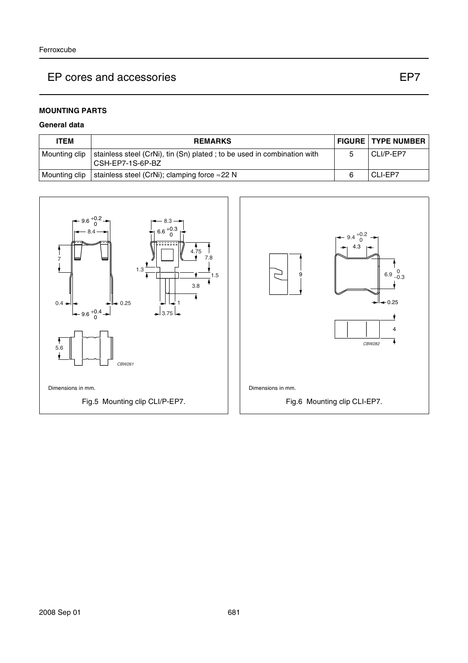#### **MOUNTING PARTS**

#### **General data**

| <b>ITEM</b>   | <b>REMARKS</b>                                                                              | <b>FIGURE TYPE NUMBER</b> |
|---------------|---------------------------------------------------------------------------------------------|---------------------------|
| Mounting clip | stainless steel (CrNi), tin (Sn) plated; to be used in combination with<br>CSH-EP7-1S-6P-BZ | CLI/P-EP7                 |
| Mounting clip | stainless steel (CrNi); clamping force $\approx$ 22 N                                       | CLI-EP7                   |